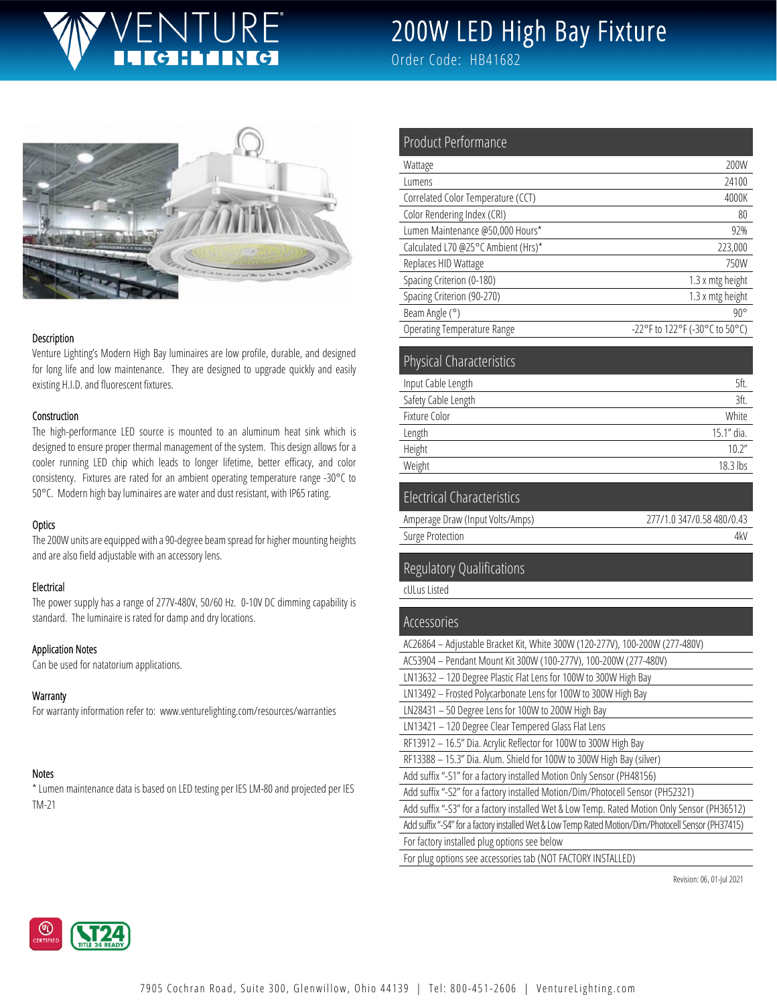# JTURF

# 200W LED High Bay Fixture

Order Code: HB41682



#### Description

Venture Lighting's Modern High Bay luminaires are low profile, durable, and designed for long life and low maintenance. They are designed to upgrade quickly and easily existing H.I.D. and fluorescent fixtures.

#### Construction

The high-performance LED source is mounted to an aluminum heat sink which is designed to ensure proper thermal management of the system. This design allows for a cooler running LED chip which leads to longer lifetime, better efficacy, and color consistency. Fixtures are rated for an ambient operating temperature range -30°C to 50°C. Modern high bay luminaires are water and dust resistant, with IP65 rating.

#### **Optics**

The 200W units are equipped with a 90-degree beam spread for higher mounting heights and are also field adjustable with an accessory lens.

#### **Electrical**

The power supply has a range of 277V-480V, 50/60 Hz. 0-10V DC dimming capability is standard. The luminaire is rated for damp and dry locations.

#### Application Notes

Can be used for natatorium applications.

#### **Warranty**

For warranty information refer to: www.venturelighting.com/resources/warranties

#### Notes

\* Lumen maintenance data is based on LED testing per IES LM-80 and projected per IES TM-21

| Product Performance                 |                                |
|-------------------------------------|--------------------------------|
| Wattage                             | 200W                           |
| Lumens                              | 24100                          |
| Correlated Color Temperature (CCT)  | 4000K                          |
| Color Rendering Index (CRI)         | 80                             |
| Lumen Maintenance @50,000 Hours*    | 92%                            |
| Calculated L70 @25°C Ambient (Hrs)* | 223,000                        |
| Replaces HID Wattage                | 750W                           |
| Spacing Criterion (0-180)           | 1.3 x mtg height               |
| Spacing Criterion (90-270)          | 1.3 x mtg height               |
| Beam Angle (°)                      | $90^{\circ}$                   |
| <b>Operating Temperature Range</b>  | -22°F to 122°F (-30°C to 50°C) |
|                                     |                                |

| <b>Physical Characteristics</b> |            |
|---------------------------------|------------|
| Input Cable Length              | 5ft.       |
| Safety Cable Length             | 3ft.       |
| Fixture Color                   | White      |
| Length                          | 15.1" dia. |
| Height                          | 10.2"      |
| Weight                          | 18.3 lbs   |
|                                 |            |

## Electrical Characteristics

| Amperage Draw (Input Volts/Amps) | 277/1.0 347/0.58 480/0.43 |
|----------------------------------|---------------------------|
| Surge Protection                 | 4k\                       |

#### Regulatory Qualifications

cULus Listed

### Accessories AC26864 – Adjustable Bracket Kit, White 300W (120-277V), 100-200W (277-480V) AC53904 – Pendant Mount Kit 300W (100-277V), 100-200W (277-480V) LN13632 – 120 Degree Plastic Flat Lens for 100W to 300W High Bay LN13492 – Frosted Polycarbonate Lens for 100W to 300W High Bay LN28431 – 50 Degree Lens for 100W to 200W High Bay LN13421 – 120 Degree Clear Tempered Glass Flat Lens RF13912 – 16.5" Dia. Acrylic Reflector for 100W to 300W High Bay RF13388 – 15.3" Dia. Alum. Shield for 100W to 300W High Bay (silver) Add suffix "-S1" for a factory installed Motion Only Sensor (PH48156) Add suffix "-S2" for a factory installed Motion/Dim/Photocell Sensor (PH52321) Add suffix "-S3" for a factory installed Wet & Low Temp. Rated Motion Only Sensor (PH36512) Add suffix "-S4" for a factory installed Wet & Low Temp Rated Motion/Dim/Photocell Sensor (PH37415) For factory installed plug options see below For plug options see accessories tab (NOT FACTORY INSTALLED)

Revision: 06, 01-Jul 2021